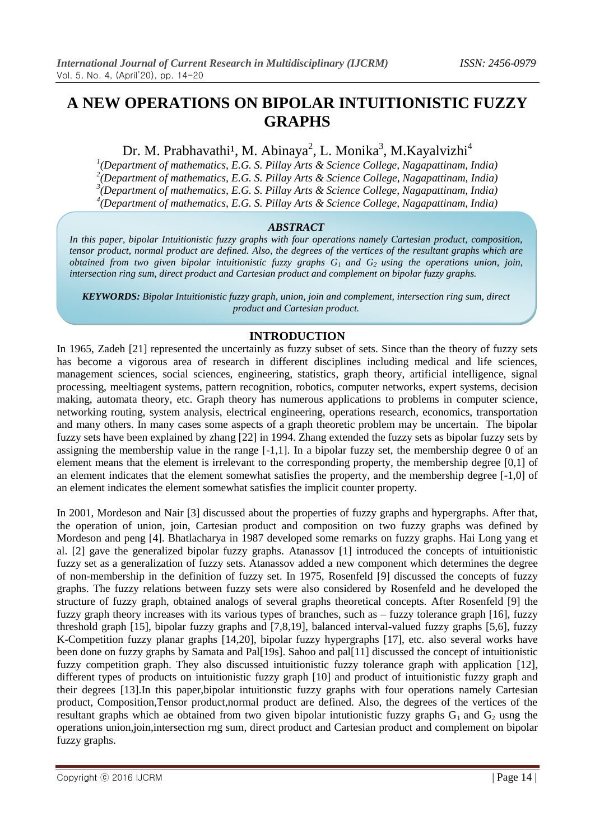# **A NEW OPERATIONS ON BIPOLAR INTUITIONISTIC FUZZY GRAPHS**

Dr. M. Prabhavathi<sup>1</sup>, M. Abinaya<sup>2</sup>, L. Monika<sup>3</sup>, M.Kayalvizhi<sup>4</sup>

 *(Department of mathematics, E.G. S. Pillay Arts & Science College, Nagapattinam, India) (Department of mathematics, E.G. S. Pillay Arts & Science College, Nagapattinam, India) (Department of mathematics, E.G. S. Pillay Arts & Science College, Nagapattinam, India) (Department of mathematics, E.G. S. Pillay Arts & Science College, Nagapattinam, India)*

## *ABSTRACT*

*In this paper, bipolar Intuitionistic fuzzy graphs with four operations namely Cartesian product, composition, tensor product, normal product are defined. Also, the degrees of the vertices of the resultant graphs which are obtained from two given bipolar intuitionistic fuzzy graphs G1 and G2 using the operations union, join, intersection ring sum, direct product and Cartesian product and complement on bipolar fuzzy graphs.*

*KEYWORDS: Bipolar Intuitionistic fuzzy graph, union, join and complement, intersection ring sum, direct product and Cartesian product.*

# **INTRODUCTION**

In 1965, Zadeh [21] represented the uncertainly as fuzzy subset of sets. Since than the theory of fuzzy sets has become a vigorous area of research in different disciplines including medical and life sciences, management sciences, social sciences, engineering, statistics, graph theory, artificial intelligence, signal processing, meeltiagent systems, pattern recognition, robotics, computer networks, expert systems, decision making, automata theory, etc. Graph theory has numerous applications to problems in computer science, networking routing, system analysis, electrical engineering, operations research, economics, transportation and many others. In many cases some aspects of a graph theoretic problem may be uncertain. The bipolar fuzzy sets have been explained by zhang [22] in 1994. Zhang extended the fuzzy sets as bipolar fuzzy sets by assigning the membership value in the range [-1,1]. In a bipolar fuzzy set, the membership degree 0 of an element means that the element is irrelevant to the corresponding property, the membership degree [0,1] of an element indicates that the element somewhat satisfies the property, and the membership degree [-1,0] of an element indicates the element somewhat satisfies the implicit counter property.

In 2001, Mordeson and Nair [3] discussed about the properties of fuzzy graphs and hypergraphs. After that, the operation of union, join, Cartesian product and composition on two fuzzy graphs was defined by Mordeson and peng [4]. Bhatlacharya in 1987 developed some remarks on fuzzy graphs. Hai Long yang et al. [2] gave the generalized bipolar fuzzy graphs. Atanassov [1] introduced the concepts of intuitionistic fuzzy set as a generalization of fuzzy sets. Atanassov added a new component which determines the degree of non-membership in the definition of fuzzy set. In 1975, Rosenfeld [9] discussed the concepts of fuzzy graphs. The fuzzy relations between fuzzy sets were also considered by Rosenfeld and he developed the structure of fuzzy graph, obtained analogs of several graphs theoretical concepts. After Rosenfeld [9] the fuzzy graph theory increases with its various types of branches, such as – fuzzy tolerance graph [16], fuzzy threshold graph [15], bipolar fuzzy graphs and [7,8,19], balanced interval-valued fuzzy graphs [5,6], fuzzy K-Competition fuzzy planar graphs [14,20], bipolar fuzzy hypergraphs [17], etc. also several works have been done on fuzzy graphs by Samata and Pal[19s]. Sahoo and pal[11] discussed the concept of intuitionistic fuzzy competition graph. They also discussed intuitionistic fuzzy tolerance graph with application [12], different types of products on intuitionistic fuzzy graph [10] and product of intuitionistic fuzzy graph and their degrees [13].In this paper,bipolar intuitionstic fuzzy graphs with four operations namely Cartesian product, Composition,Tensor product,normal product are defined. Also, the degrees of the vertices of the resultant graphs which ae obtained from two given bipolar intutionistic fuzzy graphs  $G_1$  and  $G_2$  usng the operations union,join,intersection rng sum, direct product and Cartesian product and complement on bipolar fuzzy graphs.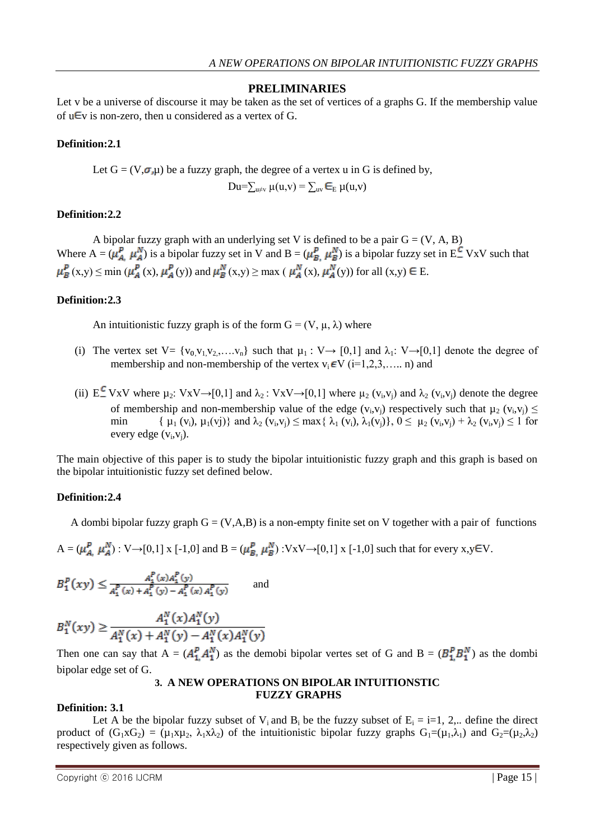## **PRELIMINARIES**

Let v be a universe of discourse it may be taken as the set of vertices of a graphs G. If the membership value of  $u \in V$  is non-zero, then u considered as a vertex of G.

#### **Definition:2.1**

Let  $G = (V, \sigma, \mu)$  be a fuzzy graph, the degree of a vertex u in G is defined by,

$$
Du=\sum_{u\neq v}\mu(u,v)=\sum_{uv}\boldsymbol{\in}_{E}\mu(u,v)
$$

#### **Definition:2.2**

A bipolar fuzzy graph with an underlying set V is defined to be a pair  $G = (V, A, B)$ Where  $A = (\mu_A^P, \mu_A^N)$  is a bipolar fuzzy set in V and  $B = (\mu_B^P, \mu_B^N)$  is a bipolar fuzzy set in  $E^C$  VxV such that  $\mu_B^P(x,y) \le \min(\mu_A^P(x), \mu_A^P(y))$  and  $\mu_B^N(x,y) \ge \max(\mu_A^N(x), \mu_A^N(y))$  for all  $(x,y) \in E$ .

## **Definition:2.3**

An intuitionistic fuzzy graph is of the form  $G = (V, \mu, \lambda)$  where

- (i) The vertex set  $V = \{v_0, v_1, v_2, \ldots, v_n\}$  such that  $\mu_1 : V \rightarrow [0,1]$  and  $\lambda_1 : V \rightarrow [0,1]$  denote the degree of membership and non-membership of the vertex  $v_i \in V$  (i=1,2,3,..., n) and
- (ii)  $E^{\text{L}}$  VxV where  $\mu_2$ : VxV $\rightarrow$ [0,1] and  $\lambda_2$ : VxV $\rightarrow$ [0,1] where  $\mu_2$  (v<sub>i</sub>,v<sub>j</sub>) and  $\lambda_2$  (v<sub>i</sub>,v<sub>j</sub>) denote the degree of membership and non-membership value of the edge  $(v_i, v_j)$  respectively such that  $\mu_2$   $(v_i, v_j) \le$ min  $\{\mu_1(v_i), \mu_1(v_j)\}$  and  $\lambda_2(v_i, v_j) \le \max\{\lambda_1(v_i), \lambda_1(v_j)\}, 0 \le \mu_2(v_i, v_j) + \lambda_2(v_i, v_j) \le 1$  for every edge  $(v_i, v_j)$ .

The main objective of this paper is to study the bipolar intuitionistic fuzzy graph and this graph is based on the bipolar intuitionistic fuzzy set defined below.

# **Definition:2.4**

A dombi bipolar fuzzy graph  $G = (V, A, B)$  is a non-empty finite set on V together with a pair of functions

$$
A = (\mu_{A}^P, \mu_A^N) : V \rightarrow [0,1] \times [-1,0] \text{ and } B = (\mu_{B}^P, \mu_B^N) : V \times V \rightarrow [0,1] \times [-1,0] \text{ such that for every } x, y \in V.
$$

$$
B_1^P(xy) \le \frac{A_1^P(x)A_1^P(y)}{A_1^P(x) + A_1^P(y) - A_1^P(x)A_1^P(y)}
$$
 and

$$
B_1^N(xy) \ge \frac{A_1^N(x)A_1^N(y)}{A_1^N(x) + A_1^N(y) - A_1^N(x)A_1^N(y)}
$$

Then one can say that  $A = (A_1^P, A_1^N)$  as the demobi bipolar vertes set of G and  $B = (B_1^P, B_1^N)$  as the dombi bipolar edge set of G.

## **3. A NEW OPERATIONS ON BIPOLAR INTUITIONSTIC FUZZY GRAPHS**

#### **Definition: 3.1**

Let A be the bipolar fuzzy subset of  $V_i$  and  $B_i$  be the fuzzy subset of  $E_i = i=1, 2, ...$  define the direct product of  $(G_1 \times G_2) = (\mu_1 \times \mu_2, \lambda_1 \times \lambda_2)$  of the intuitionistic bipolar fuzzy graphs  $G_1 = (\mu_1, \lambda_1)$  and  $G_2 = (\mu_2, \lambda_2)$ respectively given as follows.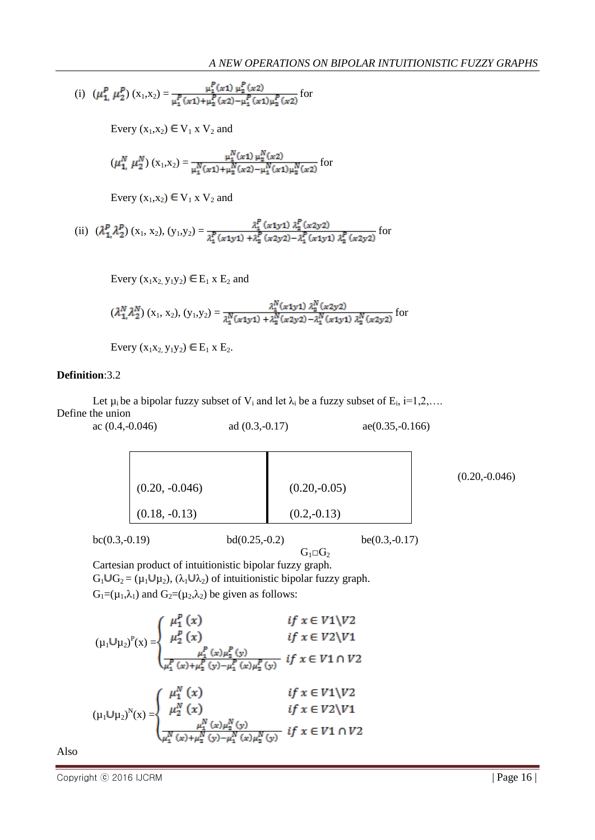(i) 
$$
(\mu_1^P, \mu_2^P) (x_1, x_2) = \frac{\mu_1^P(x_1) \mu_2^P(x_2)}{\mu_1^P(x_1) + \mu_2^P(x_2) - \mu_1^P(x_1) \mu_2^P(x_2)}
$$
 for

Every  $(x_1, x_2) \in V_1$  x  $V_2$  and

$$
(\mu_{1, \mu_{2}}^{N})(x_{1}, x_{2}) = \frac{\mu_{1}^{N}(x_{1}) \mu_{2}^{N}(x_{2})}{\mu_{1}^{N}(x_{1}) + \mu_{2}^{N}(x_{2}) - \mu_{1}^{N}(x_{1}) \mu_{2}^{N}(x_{2})}
$$
 for

Every  $(x_1, x_2) \in V_1$  x  $V_2$  and

(ii) 
$$
(\lambda_1^p \lambda_2^p) (x_1, x_2), (y_1, y_2) = \frac{\lambda_1^p (x_1y_1) \lambda_2^p (x_2y_2)}{\lambda_1^p (x_1y_1) + \lambda_2^p (x_2y_2) - \lambda_1^p (x_1y_1) \lambda_2^p (x_2y_2)}
$$
 for

Every 
$$
(x_1x_2, y_1y_2) \in E_1 \times E_2
$$
 and

$$
(\lambda_1^N \lambda_2^N) (x_1, x_2), (y_1, y_2) = \frac{\lambda_1^N (x_1 y_1) \lambda_2^N (x_2 y_2)}{\lambda_1^N (x_1 y_1) + \lambda_2^N (x_2 y_2) - \lambda_1^N (x_1 y_1) \lambda_2^N (x_2 y_2)}
$$
 for

Every  $(x_1x_2, y_1y_2) \in E_1 \times E_2$ .

## **Definition**:3.2

Let  $\mu_i$  be a bipolar fuzzy subset of  $V_i$  and let  $\lambda_i$  be a fuzzy subset of  $E_i$ ,  $i=1,2,...$ Define the union

| $\alpha(0.4,-0.046)$ | ad $(0.3,-0.17)$ | $ae(0.35,-0.166)$ |
|----------------------|------------------|-------------------|
|                      |                  |                   |
| $(0.20, -0.046)$     | $(0.20,-0.05)$   |                   |
| $(0.18, -0.13)$      | $(0.2,-0.13)$    |                   |
| $bc(0.3,-0.19)$      | $bd(0.25,-0.2)$  | $be(0.3,-0.17)$   |

(0.20,-0.046)

 $G_1 \square G_2$ Cartesian product of intuitionistic bipolar fuzzy graph.  $G_1 \cup G_2 = (\mu_1 \cup \mu_2), (\lambda_1 \cup \lambda_2)$  of intuitionistic bipolar fuzzy graph.  $G_1=(\mu_1,\lambda_1)$  and  $G_2=(\mu_2,\lambda_2)$  be given as follows:

$$
(\mu_1 \cup \mu_2)^P(x) = \begin{cases} \mu_1^P(x) & \text{if } x \in V1 \setminus V2 \\ \mu_2^P(x) & \text{if } x \in V2 \setminus V1 \\ \frac{\mu_1^P(x)\mu_2^P(y)}{\mu_1^P(x)+\mu_2^P(y)-\mu_1^P(x)\mu_2^P(y)} & \text{if } x \in V1 \cap V2 \end{cases}
$$

$$
(\mu_1 \cup \mu_2)^N(x) = \begin{cases} \mu_1^N(x) & \text{if } x \in V1 \setminus V2 \\ \mu_2^N(x) & \text{if } x \in V2 \setminus V1 \\ \frac{\mu_1^N(x)\mu_2^N(y)}{\mu_1^N(x)+\mu_2^N(y)-\mu_1^N(x)\mu_2^N(y)} & \text{if } x \in V1 \cap V2 \end{cases}
$$

Also

Copyright © 2016 IJCRM | Page 16 |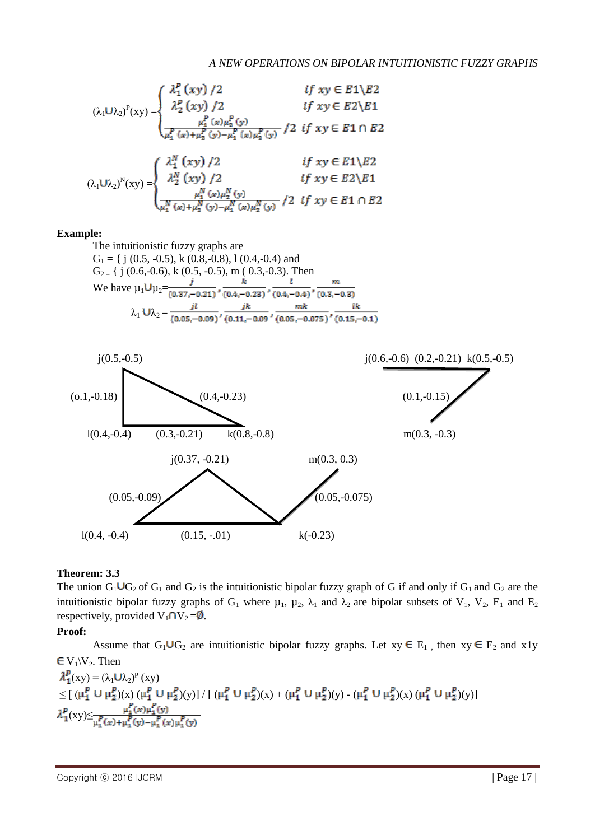$$
(\lambda_1 \cup \lambda_2)^P(xy) = \begin{cases} \frac{\lambda_1^P (xy) / 2}{\lambda_2^P (xy) / 2} & \text{if } xy \in E1 \setminus E2 \\ \frac{\mu_1^P (x) \mu_2^P (y)}{\mu_1^P (x) + \mu_2^P (y) - \mu_1^P (x) \mu_2^P (y)} / 2 & \text{if } xy \in E1 \cap E2 \end{cases}
$$

$$
(\lambda_1 \cup \lambda_2)^N(xy) = \begin{cases} \frac{\lambda_1^N (xy) / 2}{\lambda_2^N (xy) / 2} & \text{if } xy \in E1 \setminus E2 \\ \frac{\lambda_2^N (xy) / 2}{\mu_1^N (x) + \mu_2^N (y) - \mu_1^N (x) \mu_2^N (y)} / 2 & \text{if } xy \in E2 \setminus E1 \\ \frac{\mu_1^N (x) \mu_2^N (y) - \mu_1^N (x) \mu_2^N (y)}{\mu_1^N (y) - \mu_1^N (x) \mu_2^N (y)} / 2 & \text{if } xy \in E1 \cap E2 \end{cases}
$$

#### **Example:**

The intuitionistic fuzzy graphs are  
\n
$$
G_1 = \{ j (0.5, -0.5), k (0.8, -0.8), 1 (0.4, -0.4) \text{ and } G_2 = \{ j (0.6, -0.6), k (0.5, -0.5), m (0.3, -0.3). \text{ Then}
$$
  
\nWe have  $\mu_1 U \mu_2 = \frac{j}{(0.37, -0.21)}, \frac{k}{(0.4, -0.23)}, \frac{l}{(0.4, -0.4)}, \frac{m}{(0.3, -0.3)}$   
\n $\lambda_1 U \lambda_2 = \frac{j l}{(0.05, -0.09)}, \frac{j k}{(0.11, -0.09)}, \frac{mk}{(0.05, -0.075)}, \frac{l k}{(0.15, -0.1)}$ 



## **Theorem: 3.3**

The union  $G_1 \cup G_2$  of  $G_1$  and  $G_2$  is the intuitionistic bipolar fuzzy graph of G if and only if  $G_1$  and  $G_2$  are the intuitionistic bipolar fuzzy graphs of  $G_1$  where  $\mu_1$ ,  $\mu_2$ ,  $\lambda_1$  and  $\lambda_2$  are bipolar subsets of  $V_1$ ,  $V_2$ ,  $E_1$  and  $E_2$ respectively, provided  $V_1 \cap V_2 = \emptyset$ .

#### **Proof:**

Assume that  $G_1 \cup G_2$  are intuitionistic bipolar fuzzy graphs. Let  $xy \in E_1$ , then  $xy \in E_2$  and  $x1y$  $\in V_1\backslash V_2$ . Then

$$
\lambda_1^p(xy) = (\lambda_1 \cup \lambda_2)^p(xy) \n\leq [(\mu_1^p \cup \mu_2^p)(x) (\mu_1^p \cup \mu_2^p)(y)] / [(\mu_1^p \cup \mu_2^p)(x) + (\mu_1^p \cup \mu_2^p)(y) - (\mu_1^p \cup \mu_2^p)(x) (\mu_1^p \cup \mu_2^p)(y)] \n\lambda_1^p(xy) \leq \frac{\mu_1^p(x)\mu_1^p(y)}{\mu_1^p(x) + \mu_1^p(y) - \mu_1^p(x) \mu_1^p(y)}.
$$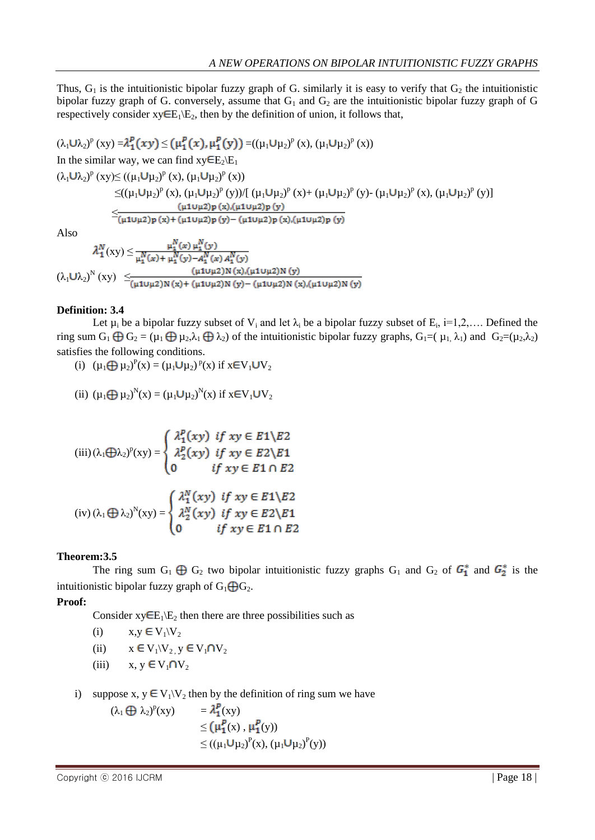Thus,  $G_1$  is the intuitionistic bipolar fuzzy graph of G. similarly it is easy to verify that  $G_2$  the intuitionistic bipolar fuzzy graph of G. conversely, assume that  $G_1$  and  $G_2$  are the intuitionistic bipolar fuzzy graph of G respectively consider  $xy \in E_1\backslash E_2$ , then by the definition of union, it follows that,

 $(\lambda_1 \cup \lambda_2)^p$  (xy) =  $\lambda_1^p(xy) \leq (\mu_1^p(x), \mu_1^p(y)) = ((\mu_1 \cup \mu_2)^p(x), (\mu_1 \cup \mu_2)^p(x))$ In the similar way, we can find  $xy \in E_2 \setminus E_1$  $(\lambda_1 \mathbf{U} \lambda_2)^p$  (xy) $\leq ((\mu_1 \mathbf{U} \mu_2)^p$  (x),  $(\mu_1 \mathbf{U} \mu_2)^p$  (x))  $\leq ((\mu_1 U \mu_2)^p (x), (\mu_1 U \mu_2)^p (y))/[(\mu_1 U \mu_2)^p (x) + (\mu_1 U \mu_2)^p (y) - (\mu_1 U \mu_2)^p (x), (\mu_1 U \mu_2)^p (y)]$  $\leq \!\!\frac{(\mu 1 \cup \mu 2) p(x) , (\mu 1 \cup \mu 2) p(y)}{(\mu 1 \cup \mu 2) p(x) + (\mu 1 \cup \mu 2) p(y) - (\mu 1 \cup \mu 2) p(x) , (\mu 1 \cup \mu 2) p(y)}$ 

Also

$$
\lambda_1^N(xy) \le \frac{\mu_1^N(x) \mu_1^N(y)}{\mu_1^N(x) + \mu_1^N(y) - A_1^N(x) A_1^N(y)}
$$
  

$$
(\lambda_1 \cup \lambda_2)^N(xy) \le \frac{(\mu_1 \cup \mu_2)N(x) \cdot (\mu_1 \cup \mu_2)N(y)}{(\mu_1 \cup \mu_2)N(x) + (\mu_1 \cup \mu_2)N(y) - (\mu_1 \cup \mu_2)N(x) \cdot (\mu_1 \cup \mu_2)N(y)}
$$

#### **Definition: 3.4**

Let  $\mu_i$  be a bipolar fuzzy subset of  $V_i$  and let  $\lambda_i$  be a bipolar fuzzy subset of  $E_i$ , i=1,2,.... Defined the ring sum  $G_1 \oplus G_2 = (\mu_1 \oplus \mu_2, \lambda_1 \oplus \lambda_2)$  of the intuitionistic bipolar fuzzy graphs,  $G_1 = (\mu_1, \lambda_1)$  and  $G_2 = (\mu_2, \lambda_2)$ satisfies the following conditions.

(i)  $(\mu_1 \bigoplus \mu_2)^P(x) = (\mu_1 \bigcup \mu_2)^P(x)$  if  $x \in V_1 \bigcup V_2$ 

(ii) 
$$
(\mu_1 \bigoplus \mu_2)^N(x) = (\mu_1 \bigcup \mu_2)^N(x)
$$
 if  $x \in V_1 \cup V_2$ 

$$
(iii) (\lambda_1 \bigoplus \lambda_2)^p(xy) = \begin{cases} \lambda_1^p(xy) & \text{if } xy \in E1 \setminus E2 \\ \lambda_2^p(xy) & \text{if } xy \in E2 \setminus E1 \\ 0 & \text{if } xy \in E1 \cap E2 \end{cases}
$$

$$
(iv) (\lambda_1 \bigoplus \lambda_2)^N(xy) = \begin{cases} \lambda_1^N(xy) & \text{if } xy \in E1 \setminus E2 \\ \lambda_2^N(xy) & \text{if } xy \in E2 \setminus E1 \\ 0 & \text{if } xy \in E1 \cap E2 \end{cases}
$$

# **Theorem:3.5**

The ring sum  $G_1 \oplus G_2$  two bipolar intuitionistic fuzzy graphs  $G_1$  and  $G_2$  of  $G_1^*$  and  $G_2^*$  is the intuitionistic bipolar fuzzy graph of  $G_1 \bigoplus G_2$ .

**Proof:**

Consider  $xy \in E_1 \setminus E_2$  then there are three possibilities such as

(i)  $x,y \in V_1\backslash V_2$ 

(ii) 
$$
x \in V_1 \setminus V_2, y \in V_1 \cap V_2
$$

- (iii)  $x, y \in V_1 \cap V_2$
- i) suppose x,  $y \in V_1 \setminus V_2$  then by the definition of ring sum we have
	- $(\lambda_1 \bigoplus \lambda_2)^p(xy) = \lambda_1^p(xy)$  $\leq (\mu_1^p(x), \mu_1^p(y))$  $\leq ((\mu_1 \cup \mu_2)^P(x), (\mu_1 \cup \mu_2)^P(y))$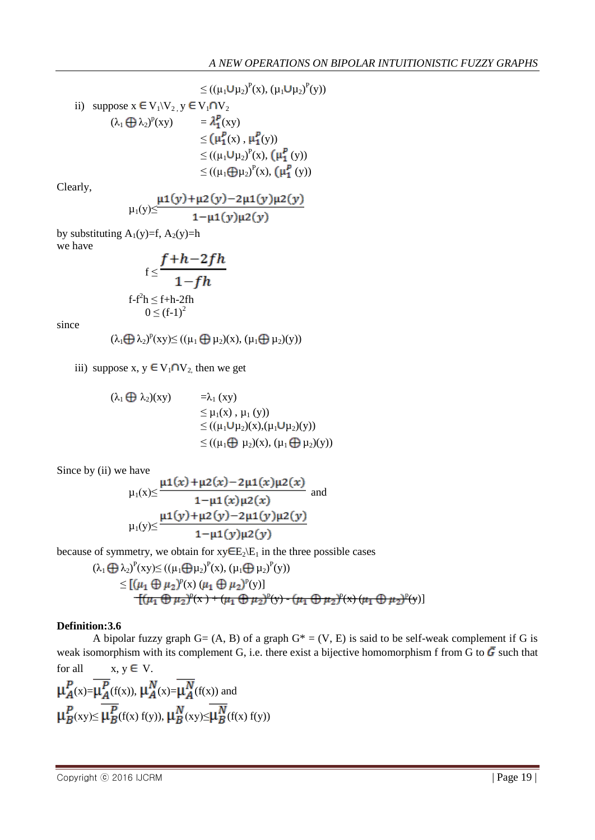$$
\leq ((\mu_1 \cup \mu_2)^P(x), (\mu_1 \cup \mu_2)^P(y))
$$
  
\nii) suppose  $x \in V_1 \setminus V_2$ ,  $y \in V_1 \cap V_2$   
\n
$$
(\lambda_1 \oplus \lambda_2)^P(xy) = \lambda_1^P(xy)
$$
\n
$$
\leq (\mu_1^P(x), \mu_1^P(y))
$$
\n
$$
\leq ((\mu_1 \cup \mu_2)^P(x), (\mu_1^P(y))
$$
\n
$$
\leq ((\mu_1 \oplus \mu_2)^P(x), (\mu_1^P(y))
$$

Clearly,

$$
\mu_1(y) \leq \frac{\mu_1(y) + \mu_2(y) - 2\mu_1(y)\mu_2(y)}{1 - \mu_1(y)\mu_2(y)}
$$

by substituting  $A_1(y)=f, A_2(y)=h$ we have

$$
f \leq \frac{f+h-2fh}{1-fh}
$$
  
 
$$
f\text{-}f^2h \leq f+h-2fh
$$
  
 
$$
0 \leq (f-1)^2
$$

since

$$
(\lambda_1 \textstyle{\bigoplus} \, \lambda_2)^p(xy) {\leq} \, ((\mu_1 \textstyle{\bigoplus} \, \mu_2)(x), \, (\mu_1 \textstyle{\bigoplus} \, \mu_2)(y))
$$

iii) suppose x,  $y \in V_1 \cap V_2$  then we get

$$
(\lambda_1 \bigoplus \lambda_2)(xy) = \lambda_1(xy)
$$
  
\n
$$
\leq \mu_1(x), \mu_1(y)
$$
  
\n
$$
\leq ((\mu_1 \bigcup \mu_2)(x), (\mu_1 \bigcup \mu_2)(y))
$$
  
\n
$$
\leq ((\mu_1 \bigoplus \mu_2)(x), (\mu_1 \bigoplus \mu_2)(y))
$$

Since by (ii) we have

$$
\mu_1(x) \le \frac{\mu_1(x) + \mu_2(x) - 2\mu_1(x)\mu_2(x)}{1 - \mu_1(x)\mu_2(x)} \text{ and}
$$

$$
\mu_1(y) \le \frac{\mu_1(y) + \mu_2(y) - 2\mu_1(y)\mu_2(y)}{1 - \mu_1(y)\mu_2(y)}
$$

because of symmetry, we obtain for  $xy \in E_2 \setminus E_1$  in the three possible cases

$$
(\lambda_1 \bigoplus \lambda_2)^P(xy) \le ((\mu_1 \bigoplus \mu_2)^P(x), (\mu_1 \bigoplus \mu_2)^P(y))
$$
  
\n
$$
\le [(\mu_1 \bigoplus \mu_2)^P(x) (\mu_1 \bigoplus \mu_2)^P(y)]
$$
  
\n
$$
[(\mu_1 \bigoplus \mu_2)^P(x) + (\mu_1 \bigoplus \mu_2)^P(y) - (\mu_1 \bigoplus \mu_2)^P(x) (\mu_1 \bigoplus \mu_2)^P(y)]
$$

#### **Definition:3.6**

A bipolar fuzzy graph  $G = (A, B)$  of a graph  $G^* = (V, E)$  is said to be self-weak complement if G is weak isomorphism with its complement G, i.e. there exist a bijective homomorphism f from G to  $\vec{G}$  such that for all  $x, y \in V$ 

$$
\mu_{A}^{P}(x) = \mu_{A}^{P}(f(x)), \mu_{A}^{N}(x) = \mu_{A}^{N}(f(x)) \text{ and}
$$
  

$$
\mu_{B}^{P}(xy) \le \mu_{B}^{P}(f(x) f(y)), \mu_{B}^{N}(xy) \le \mu_{B}^{N}(f(x) f(y))
$$